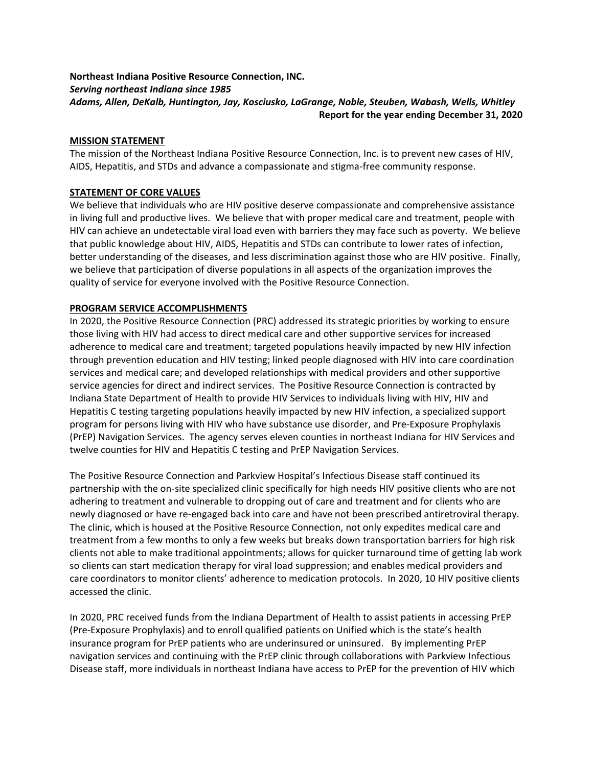# Northeast Indiana Positive Resource Connection, INC. Serving northeast Indiana since 1985 Adams, Allen, DeKalb, Huntington, Jay, Kosciusko, LaGrange, Noble, Steuben, Wabash, Wells, Whitley Report for the year ending December 31, 2020

## MISSION STATEMENT

The mission of the Northeast Indiana Positive Resource Connection, Inc. is to prevent new cases of HIV, AIDS, Hepatitis, and STDs and advance a compassionate and stigma-free community response.

## STATEMENT OF CORE VALUES

We believe that individuals who are HIV positive deserve compassionate and comprehensive assistance in living full and productive lives. We believe that with proper medical care and treatment, people with HIV can achieve an undetectable viral load even with barriers they may face such as poverty. We believe that public knowledge about HIV, AIDS, Hepatitis and STDs can contribute to lower rates of infection, better understanding of the diseases, and less discrimination against those who are HIV positive. Finally, we believe that participation of diverse populations in all aspects of the organization improves the quality of service for everyone involved with the Positive Resource Connection.

## PROGRAM SERVICE ACCOMPLISHMENTS

In 2020, the Positive Resource Connection (PRC) addressed its strategic priorities by working to ensure those living with HIV had access to direct medical care and other supportive services for increased adherence to medical care and treatment; targeted populations heavily impacted by new HIV infection through prevention education and HIV testing; linked people diagnosed with HIV into care coordination services and medical care; and developed relationships with medical providers and other supportive service agencies for direct and indirect services. The Positive Resource Connection is contracted by Indiana State Department of Health to provide HIV Services to individuals living with HIV, HIV and Hepatitis C testing targeting populations heavily impacted by new HIV infection, a specialized support program for persons living with HIV who have substance use disorder, and Pre-Exposure Prophylaxis (PrEP) Navigation Services. The agency serves eleven counties in northeast Indiana for HIV Services and twelve counties for HIV and Hepatitis C testing and PrEP Navigation Services.

The Positive Resource Connection and Parkview Hospital's Infectious Disease staff continued its partnership with the on-site specialized clinic specifically for high needs HIV positive clients who are not adhering to treatment and vulnerable to dropping out of care and treatment and for clients who are newly diagnosed or have re-engaged back into care and have not been prescribed antiretroviral therapy. The clinic, which is housed at the Positive Resource Connection, not only expedites medical care and treatment from a few months to only a few weeks but breaks down transportation barriers for high risk clients not able to make traditional appointments; allows for quicker turnaround time of getting lab work so clients can start medication therapy for viral load suppression; and enables medical providers and care coordinators to monitor clients' adherence to medication protocols. In 2020, 10 HIV positive clients accessed the clinic.

In 2020, PRC received funds from the Indiana Department of Health to assist patients in accessing PrEP (Pre-Exposure Prophylaxis) and to enroll qualified patients on Unified which is the state's health insurance program for PrEP patients who are underinsured or uninsured. By implementing PrEP navigation services and continuing with the PrEP clinic through collaborations with Parkview Infectious Disease staff, more individuals in northeast Indiana have access to PrEP for the prevention of HIV which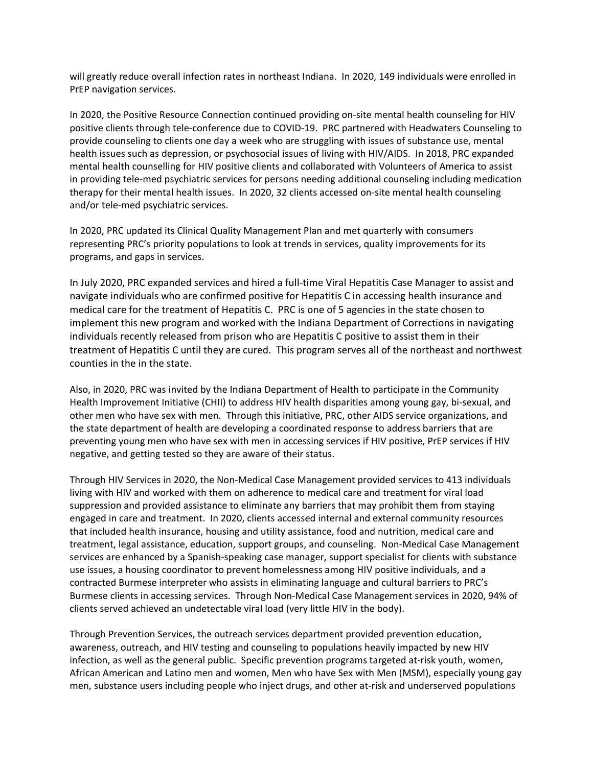will greatly reduce overall infection rates in northeast Indiana. In 2020, 149 individuals were enrolled in PrEP navigation services.

In 2020, the Positive Resource Connection continued providing on-site mental health counseling for HIV positive clients through tele-conference due to COVID-19. PRC partnered with Headwaters Counseling to provide counseling to clients one day a week who are struggling with issues of substance use, mental health issues such as depression, or psychosocial issues of living with HIV/AIDS. In 2018, PRC expanded mental health counselling for HIV positive clients and collaborated with Volunteers of America to assist in providing tele-med psychiatric services for persons needing additional counseling including medication therapy for their mental health issues. In 2020, 32 clients accessed on-site mental health counseling and/or tele-med psychiatric services.

In 2020, PRC updated its Clinical Quality Management Plan and met quarterly with consumers representing PRC's priority populations to look at trends in services, quality improvements for its programs, and gaps in services.

In July 2020, PRC expanded services and hired a full-time Viral Hepatitis Case Manager to assist and navigate individuals who are confirmed positive for Hepatitis C in accessing health insurance and medical care for the treatment of Hepatitis C. PRC is one of 5 agencies in the state chosen to implement this new program and worked with the Indiana Department of Corrections in navigating individuals recently released from prison who are Hepatitis C positive to assist them in their treatment of Hepatitis C until they are cured. This program serves all of the northeast and northwest counties in the in the state.

Also, in 2020, PRC was invited by the Indiana Department of Health to participate in the Community Health Improvement Initiative (CHII) to address HIV health disparities among young gay, bi-sexual, and other men who have sex with men. Through this initiative, PRC, other AIDS service organizations, and the state department of health are developing a coordinated response to address barriers that are preventing young men who have sex with men in accessing services if HIV positive, PrEP services if HIV negative, and getting tested so they are aware of their status.

Through HIV Services in 2020, the Non-Medical Case Management provided services to 413 individuals living with HIV and worked with them on adherence to medical care and treatment for viral load suppression and provided assistance to eliminate any barriers that may prohibit them from staying engaged in care and treatment. In 2020, clients accessed internal and external community resources that included health insurance, housing and utility assistance, food and nutrition, medical care and treatment, legal assistance, education, support groups, and counseling. Non-Medical Case Management services are enhanced by a Spanish-speaking case manager, support specialist for clients with substance use issues, a housing coordinator to prevent homelessness among HIV positive individuals, and a contracted Burmese interpreter who assists in eliminating language and cultural barriers to PRC's Burmese clients in accessing services. Through Non-Medical Case Management services in 2020, 94% of clients served achieved an undetectable viral load (very little HIV in the body).

Through Prevention Services, the outreach services department provided prevention education, awareness, outreach, and HIV testing and counseling to populations heavily impacted by new HIV infection, as well as the general public. Specific prevention programs targeted at-risk youth, women, African American and Latino men and women, Men who have Sex with Men (MSM), especially young gay men, substance users including people who inject drugs, and other at-risk and underserved populations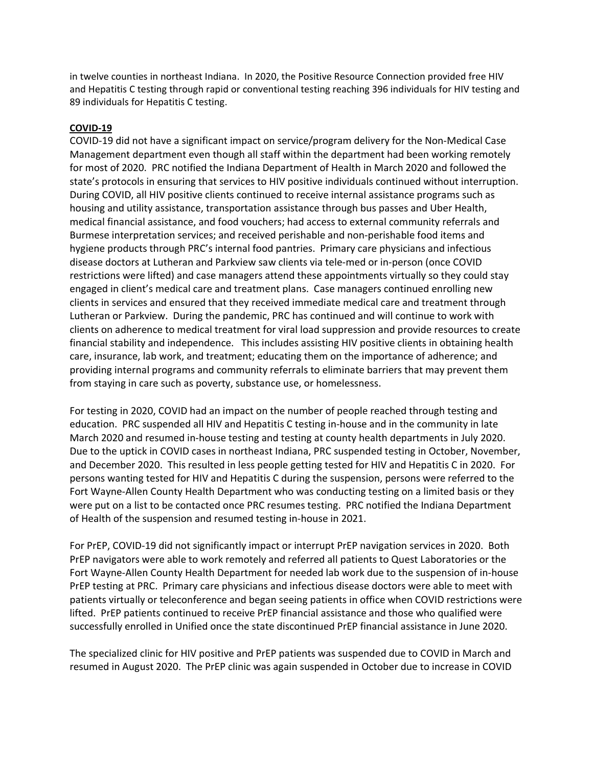in twelve counties in northeast Indiana. In 2020, the Positive Resource Connection provided free HIV and Hepatitis C testing through rapid or conventional testing reaching 396 individuals for HIV testing and 89 individuals for Hepatitis C testing.

# COVID-19

COVID-19 did not have a significant impact on service/program delivery for the Non-Medical Case Management department even though all staff within the department had been working remotely for most of 2020. PRC notified the Indiana Department of Health in March 2020 and followed the state's protocols in ensuring that services to HIV positive individuals continued without interruption. During COVID, all HIV positive clients continued to receive internal assistance programs such as housing and utility assistance, transportation assistance through bus passes and Uber Health, medical financial assistance, and food vouchers; had access to external community referrals and Burmese interpretation services; and received perishable and non-perishable food items and hygiene products through PRC's internal food pantries. Primary care physicians and infectious disease doctors at Lutheran and Parkview saw clients via tele-med or in-person (once COVID restrictions were lifted) and case managers attend these appointments virtually so they could stay engaged in client's medical care and treatment plans. Case managers continued enrolling new clients in services and ensured that they received immediate medical care and treatment through Lutheran or Parkview. During the pandemic, PRC has continued and will continue to work with clients on adherence to medical treatment for viral load suppression and provide resources to create financial stability and independence. This includes assisting HIV positive clients in obtaining health care, insurance, lab work, and treatment; educating them on the importance of adherence; and providing internal programs and community referrals to eliminate barriers that may prevent them from staying in care such as poverty, substance use, or homelessness.

For testing in 2020, COVID had an impact on the number of people reached through testing and education. PRC suspended all HIV and Hepatitis C testing in-house and in the community in late March 2020 and resumed in-house testing and testing at county health departments in July 2020. Due to the uptick in COVID cases in northeast Indiana, PRC suspended testing in October, November, and December 2020. This resulted in less people getting tested for HIV and Hepatitis C in 2020. For persons wanting tested for HIV and Hepatitis C during the suspension, persons were referred to the Fort Wayne-Allen County Health Department who was conducting testing on a limited basis or they were put on a list to be contacted once PRC resumes testing. PRC notified the Indiana Department of Health of the suspension and resumed testing in-house in 2021.

For PrEP, COVID-19 did not significantly impact or interrupt PrEP navigation services in 2020. Both PrEP navigators were able to work remotely and referred all patients to Quest Laboratories or the Fort Wayne-Allen County Health Department for needed lab work due to the suspension of in-house PrEP testing at PRC. Primary care physicians and infectious disease doctors were able to meet with patients virtually or teleconference and began seeing patients in office when COVID restrictions were lifted. PrEP patients continued to receive PrEP financial assistance and those who qualified were successfully enrolled in Unified once the state discontinued PrEP financial assistance in June 2020.

The specialized clinic for HIV positive and PrEP patients was suspended due to COVID in March and resumed in August 2020. The PrEP clinic was again suspended in October due to increase in COVID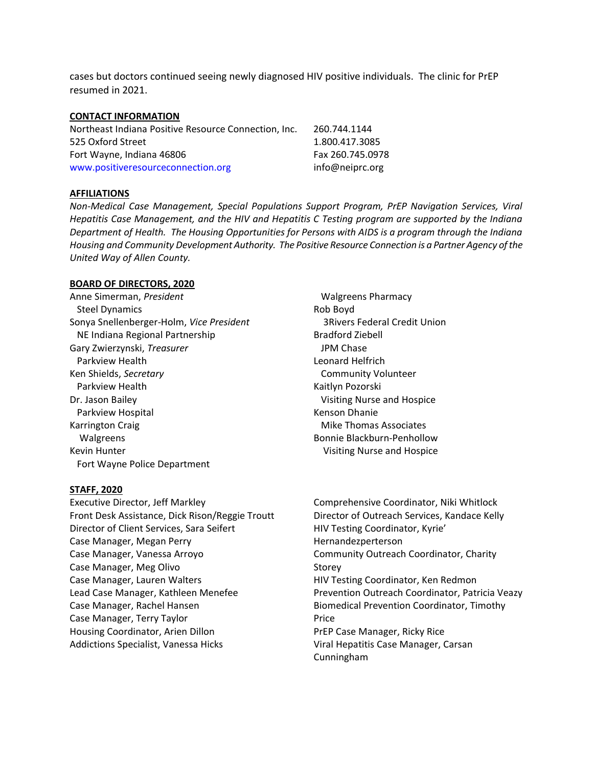cases but doctors continued seeing newly diagnosed HIV positive individuals. The clinic for PrEP resumed in 2021.

#### CONTACT INFORMATION

| Northeast Indiana Positive Resource Connection, Inc. | 260.744.1144     |
|------------------------------------------------------|------------------|
| 525 Oxford Street                                    | 1.800.417.3085   |
| Fort Wayne, Indiana 46806                            | Fax 260.745.0978 |
| www.positiveresourceconnection.org                   | info@neiprc.org  |

### AFFILIATIONS

Non-Medical Case Management, Special Populations Support Program, PrEP Navigation Services, Viral Hepatitis Case Management, and the HIV and Hepatitis C Testing program are supported by the Indiana Department of Health. The Housing Opportunities for Persons with AIDS is a program through the Indiana Housing and Community Development Authority. The Positive Resource Connection is a Partner Agency of the United Way of Allen County.

### BOARD OF DIRECTORS, 2020

Anne Simerman, President Steel Dynamics Sonya Snellenberger-Holm, Vice President NE Indiana Regional Partnership Gary Zwierzynski, Treasurer Parkview Health Ken Shields, Secretary Parkview Health Dr. Jason Bailey Parkview Hospital Karrington Craig Walgreens Kevin Hunter **Visiting Nurse and Hospice Visiting Nurse and Hospice** Fort Wayne Police Department

#### STAFF, 2020

Executive Director, Jeff Markley Front Desk Assistance, Dick Rison/Reggie Troutt Director of Client Services, Sara Seifert Case Manager, Megan Perry Case Manager, Vanessa Arroyo Case Manager, Meg Olivo Case Manager, Lauren Walters Lead Case Manager, Kathleen Menefee Case Manager, Rachel Hansen Case Manager, Terry Taylor Housing Coordinator, Arien Dillon Addictions Specialist, Vanessa Hicks

 Walgreens Pharmacy Rob Boyd 3Rivers Federal Credit Union Bradford Ziebell JPM Chase Leonard Helfrich Community Volunteer Kaitlyn Pozorski Visiting Nurse and Hospice Kenson Dhanie Mike Thomas Associates Bonnie Blackburn-Penhollow

Comprehensive Coordinator, Niki Whitlock Director of Outreach Services, Kandace Kelly HIV Testing Coordinator, Kyrie' Hernandezperterson Community Outreach Coordinator, Charity Storey HIV Testing Coordinator, Ken Redmon Prevention Outreach Coordinator, Patricia Veazy Biomedical Prevention Coordinator, Timothy Price PrEP Case Manager, Ricky Rice Viral Hepatitis Case Manager, Carsan Cunningham